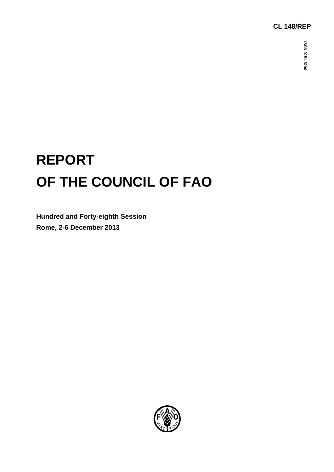## **CL 148/REP**

# **REPORT OF THE COUNCIL OF FAO**

**Hundred and Forty-eighth Session Rome, 2-6 December 2013**

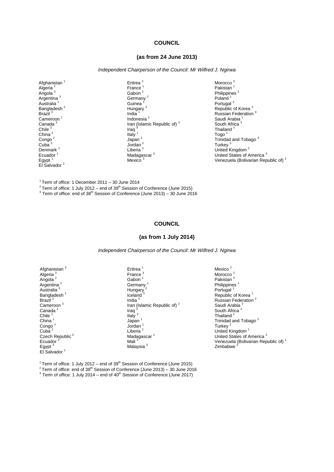#### **COUNCIL**

#### **(as from 24 June 2013)**

*Independent Chairperson of the Council: Mr Wilfred J. Ngirwa*

Afghanistan<sup>1</sup> Algeria<sup>1</sup> Angola<sup>3</sup> Argentina<sup>3</sup> Australia <sup>1</sup> Bangladesh<sup>2</sup> Brazil<sup>3</sup> Cameroon<sup>1</sup> Canada<sup>3</sup> Chile $^2$ China<sup>2</sup> Congo<sup>2</sup> Cuba $3$ Denmark<sup>1</sup> **Ecuador** Egypt $<sup>1</sup>$ </sup> El Salvador<sup>2</sup>

Eritrea<sup>2</sup> France<sup>1</sup> Gabon<sup>2</sup> Germany<sup>2</sup> **Guinea** Hungary<sup>3</sup> India Indonesia $1$ Iran (Islamic Republic of)<sup>3</sup> Iraq<sup>3</sup> Italy<sup>1</sup> Japan<sup>2</sup> Jordan <sup>2</sup> Liberia<sup>3</sup> Madagascar<sup>3</sup> Mexico<sup>3</sup>

Morocco<sup>3</sup> Pakistan<sup>1</sup> Philippines<sup>2</sup> Poland<sup>1</sup> Portugal<sup>2</sup> Republic of Korea<sup>2</sup> Russian Federation<sup>3</sup> Saudi Arabia<sup>1</sup> South Africa<sup>3</sup> Thailand<sup>2</sup> Togo<sup>1</sup> Trinidad and Tobago<sup>3</sup> Turkey<sup>3</sup> United Kingdom<sup>2</sup> United States of America<sup>3</sup> Venezuela (Bolivarian Republic of) <sup>2</sup>

1 Term of office: 1 December 2011 – 30 June 2014

 $2$  Term of office: 1 July 2012 – end of 39<sup>th</sup> Session of Conference (June 2015)

 $^3$  Term of office: end of 38<sup>th</sup> Session of Conference (June 2013) – 30 June 2016

#### **COUNCIL**

#### **(as from 1 July 2014)**

*Independent Chairperson of the Council: Mr Wilfred J. Ngirwa*

| Afghanistan <sup>3</sup>    | Eritrea <sup>1</sup>                    |
|-----------------------------|-----------------------------------------|
| Algeria <sup>3</sup>        | France <sup>3</sup>                     |
| Angola <sup>2</sup>         | Gabon <sup>1</sup>                      |
| Argentina <sup>2</sup>      | Germany <sup>1</sup>                    |
| Australia <sup>3</sup>      | Hungary                                 |
| Bangladesh <sup>1</sup>     | Iceland <sup>3</sup>                    |
| Brazil <sup>2</sup>         | India $3$                               |
| Cameroon <sup>3</sup>       | Iran (Islamic Republic of) <sup>2</sup> |
| Canada <sup>2</sup>         | Iraq                                    |
| Chile $1$                   | Italy $3$                               |
| China <sup>1</sup>          | Japan $1$                               |
| Congo <sup>1</sup>          | Jordan                                  |
| Cuba <sup>2</sup>           | Liberia <sup>2</sup>                    |
| Czech Republic <sup>3</sup> | Madagascar <sup>2</sup>                 |
| Ecuador                     | Mali <sup>3</sup>                       |
| Egypt <sup>3</sup>          | Malaysia <sup>3</sup>                   |
| El Salvador                 |                                         |

Mexico<sup>2</sup> Morocco<sup>2</sup> Pakistan<sup>3</sup> Philippines<sup>1</sup> Portugal<sup>1</sup> Republic of Korea<sup>1</sup> Russian Federation <sup>2</sup> Saudi Arabia<sup>3</sup> South Africa<sup>2</sup> Thailand<sup>1</sup> Trinidad and Tobago <sup>2</sup> Turkey<sup>2</sup> United Kingdom<sup>1</sup> United States of America<sup>2</sup> Venezuela (Bolivarian Republic of) <sup>1</sup> Zimbabwe

<sup>1</sup> Term of office: 1 July 2012 – end of 39<sup>th</sup> Session of Conference (June 2015)

 $2$ <sup>2</sup> Term of office: end of 38<sup>th</sup> Session of Conference (June 2013) – 30 June 2016

 $3$  Term of office: 1 July 2014 – end of 40<sup>th</sup> Session of Conference (June 2017)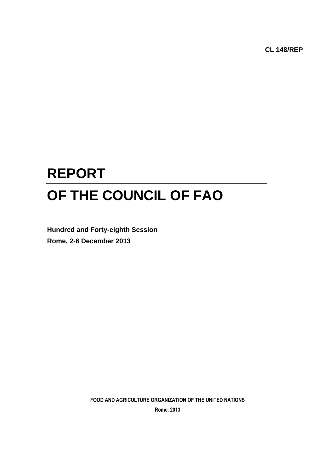**CL 148/REP**

## **REPORT OF THE COUNCIL OF FAO**

**Hundred and Forty-eighth Session Rome, 2-6 December 2013**

**FOOD AND AGRICULTURE ORGANIZATION OF THE UNITED NATIONS**

**Rome, 2013**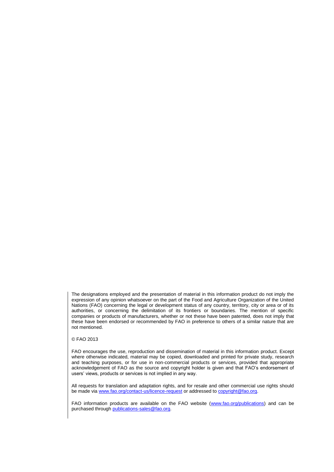The designations employed and the presentation of material in this information product do not imply the expression of any opinion whatsoever on the part of the Food and Agriculture Organization of the United Nations (FAO) concerning the legal or development status of any country, territory, city or area or of its authorities, or concerning the delimitation of its frontiers or boundaries. The mention of specific companies or products of manufacturers, whether or not these have been patented, does not imply that these have been endorsed or recommended by FAO in preference to others of a similar nature that are not mentioned.

#### © FAO 2013

FAO encourages the use, reproduction and dissemination of material in this information product. Except where otherwise indicated, material may be copied, downloaded and printed for private study, research and teaching purposes, or for use in non-commercial products or services, provided that appropriate acknowledgement of FAO as the source and copyright holder is given and that FAO's endorsement of users' views, products or services is not implied in any way.

All requests for translation and adaptation rights, and for resale and other commercial use rights should be made via [www.fao.org/contact-us/licence-request](file://hqfile1/cscc/GB_Docs/Council/146th%20April%202013/Report%20Final/Final%20Version/www.fao.org/contact-us/licence-request) or addressed to [copyright@fao.org.](mailto:copyright@fao.org)

FAO information products are available on the FAO website [\(www.fao.org/publications\)](http://www.fao.org/publications) and can be purchased through [publications-sales@fao.org.](mailto:publications-sales@fao.org)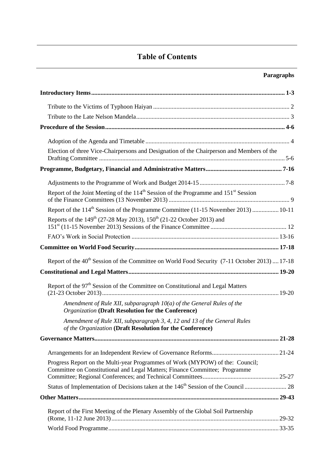## **Table of Contents**

## **Paragraphs**

| Election of three Vice-Chairpersons and Designation of the Chairperson and Members of the                                                                    |  |
|--------------------------------------------------------------------------------------------------------------------------------------------------------------|--|
|                                                                                                                                                              |  |
|                                                                                                                                                              |  |
| Report of the Joint Meeting of the 114 <sup>th</sup> Session of the Programme and 151 <sup>st</sup> Session                                                  |  |
| Report of the 114 <sup>th</sup> Session of the Programme Committee (11-15 November 2013)  10-11                                                              |  |
| Reports of the 149 <sup>th</sup> (27-28 May 2013), 150 <sup>th</sup> (21-22 October 2013) and                                                                |  |
|                                                                                                                                                              |  |
|                                                                                                                                                              |  |
| Report of the 40 <sup>th</sup> Session of the Committee on World Food Security (7-11 October 2013)  17-18                                                    |  |
|                                                                                                                                                              |  |
| Report of the 97 <sup>th</sup> Session of the Committee on Constitutional and Legal Matters                                                                  |  |
| Amendment of Rule XII, subparagraph 10(a) of the General Rules of the<br><b>Organization (Draft Resolution for the Conference)</b>                           |  |
| Amendment of Rule XII, subparagraph 3, 4, 12 and 13 of the General Rules<br>of the Organization (Draft Resolution for the Conference)                        |  |
|                                                                                                                                                              |  |
|                                                                                                                                                              |  |
| Progress Report on the Multi-year Programmes of Work (MYPOW) of the: Council;<br>Committee on Constitutional and Legal Matters; Finance Committee; Programme |  |
|                                                                                                                                                              |  |
|                                                                                                                                                              |  |
| Report of the First Meeting of the Plenary Assembly of the Global Soil Partnership                                                                           |  |
|                                                                                                                                                              |  |
|                                                                                                                                                              |  |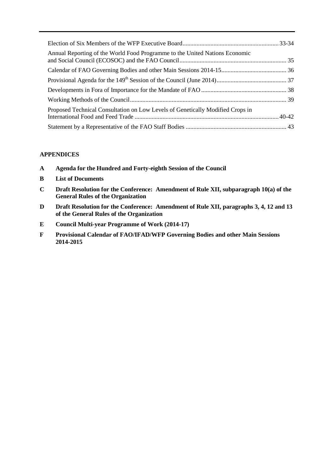| Annual Reporting of the World Food Programme to the United Nations Economic    |  |
|--------------------------------------------------------------------------------|--|
|                                                                                |  |
|                                                                                |  |
|                                                                                |  |
|                                                                                |  |
| Proposed Technical Consultation on Low Levels of Genetically Modified Crops in |  |
|                                                                                |  |

#### **APPENDICES**

- **A Agenda for the Hundred and Forty-eighth Session of the Council**
- **B List of Documents**
- **C Draft Resolution for the Conference: Amendment of Rule XII, subparagraph 10(a) of the General Rules of the Organization**
- **D Draft Resolution for the Conference: Amendment of Rule XII, paragraphs 3, 4, 12 and 13 of the General Rules of the Organization**
- **E Council Multi-year Programme of Work (2014-17)**
- **F Provisional Calendar of FAO/IFAD/WFP Governing Bodies and other Main Sessions 2014-2015**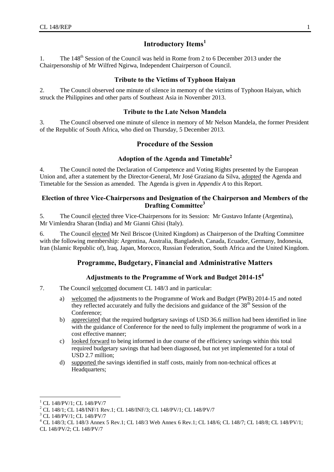## **Introductory Items<sup>1</sup>**

<span id="page-6-0"></span>1. The 148<sup>th</sup> Session of the Council was held in Rome from 2 to 6 December 2013 under the Chairpersonship of Mr Wilfred Ngirwa, Independent Chairperson of Council.

#### **Tribute to the Victims of Typhoon Haiyan**

<span id="page-6-1"></span>2. The Council observed one minute of silence in memory of the victims of Typhoon Haiyan, which struck the Philippines and other parts of Southeast Asia in November 2013.

#### **Tribute to the Late Nelson Mandela**

<span id="page-6-2"></span>3. The Council observed one minute of silence in memory of Mr Nelson Mandela, the former President of the Republic of South Africa, who died on Thursday, 5 December 2013.

### **Procedure of the Session**

## **Adoption of the Agenda and Timetable<sup>2</sup>**

<span id="page-6-3"></span>4. The Council noted the Declaration of Competence and Voting Rights presented by the European Union and, after a statement by the Director-General, Mr José Graziano da Silva, adopted the Agenda and Timetable for the Session as amended. The Agenda is given in *Appendix A* to this Report.

#### <span id="page-6-4"></span>**Election of three Vice-Chairpersons and Designation of the Chairperson and Members of the Drafting Committee<sup>3</sup>**

5. The Council elected three Vice-Chairpersons for its Session: Mr Gustavo Infante (Argentina), Mr Vimlendra Sharan (India) and Mr Gianni Ghisi (Italy).

<span id="page-6-5"></span>6. The Council elected Mr Neil Briscoe (United Kingdom) as Chairperson of the Drafting Committee with the following membership: Argentina, Australia, Bangladesh, Canada, Ecuador, Germany, Indonesia, Iran (Islamic Republic of), Iraq, Japan, Morocco, Russian Federation, South Africa and the United Kingdom.

## **Programme, Budgetary, Financial and Administrative Matters**

#### **Adjustments to the Programme of Work and Budget 2014-15<sup>4</sup>**

- <span id="page-6-6"></span>7. The Council welcomed document CL 148/3 and in particular:
	- a) welcomed the adjustments to the Programme of Work and Budget (PWB) 2014-15 and noted they reflected accurately and fully the decisions and guidance of the 38<sup>th</sup> Session of the Conference;
	- b) appreciated that the required budgetary savings of USD 36.6 million had been identified in line with the guidance of Conference for the need to fully implement the programme of work in a cost effective manner;
	- c) looked forward to being informed in due course of the efficiency savings within this total required budgetary savings that had been diagnosed, but not yet implemented for a total of USD 2.7 million;
	- d) supported the savings identified in staff costs, mainly from non-technical offices at Headquarters;

l

<sup>1</sup> CL 148/PV/1; CL 148/PV/7

<sup>&</sup>lt;sup>2</sup> CL 148/1; CL 148/INF/1 Rev.1; CL 148/INF/3; CL 148/PV/1; CL 148/PV/7

<sup>3</sup> CL 148/PV/1; CL 148/PV/7

<sup>&</sup>lt;sup>4</sup> CL 148/3; CL 148/3 Annex 5 Rev.1; CL 148/3 Web Annex 6 Rev.1; CL 148/6; CL 148/7; CL 148/8; CL 148/PV/1; CL 148/PV/2; CL 148/PV/7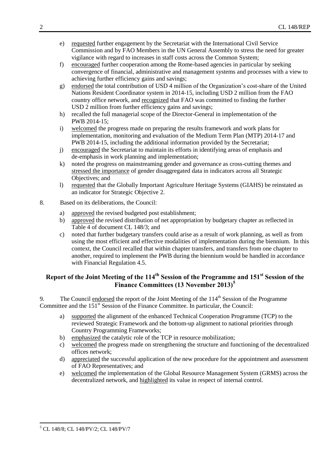- e) requested further engagement by the Secretariat with the International Civil Service Commission and by FAO Members in the UN General Assembly to stress the need for greater vigilance with regard to increases in staff costs across the Common System;
- f) encouraged further cooperation among the Rome-based agencies in particular by seeking convergence of financial, administrative and management systems and processes with a view to achieving further efficiency gains and savings;
- g) endorsed the total contribution of USD 4 million of the Organization's cost-share of the United Nations Resident Coordinator system in 2014-15, including USD 2 million from the FAO country office network, and recognized that FAO was committed to finding the further USD 2 million from further efficiency gains and savings;
- h) recalled the full managerial scope of the Director-General in implementation of the PWB 2014-15;
- i) welcomed the progress made on preparing the results framework and work plans for implementation, monitoring and evaluation of the Medium Term Plan (MTP) 2014-17 and PWB 2014-15, including the additional information provided by the Secretariat;
- j) encouraged the Secretariat to maintain its efforts in identifying areas of emphasis and de-emphasis in work planning and implementation;
- k) noted the progress on mainstreaming gender and governance as cross-cutting themes and stressed the importance of gender disaggregated data in indicators across all Strategic Objectives; and
- l) requested that the Globally Important Agriculture Heritage Systems (GIAHS) be reinstated as an indicator for Strategic Objective 2.
- 8. Based on its deliberations, the Council:
	- a) approved the revised budgeted post establishment;
	- b) approved the revised distribution of net appropriation by budgetary chapter as reflected in Table 4 of document CL 148/3; and
	- c) noted that further budgetary transfers could arise as a result of work planning, as well as from using the most efficient and effective modalities of implementation during the biennium. In this context, the Council recalled that within chapter transfers, and transfers from one chapter to another, required to implement the PWB during the biennium would be handled in accordance with Financial Regulation 4.5.

## <span id="page-7-0"></span>**Report of the Joint Meeting of the 114th Session of the Programme and 151st Session of the Finance Committees (13 November 2013)<sup>5</sup>**

9. The Council endorsed the report of the Joint Meeting of the  $114<sup>th</sup>$  Session of the Programme Committee and the 151<sup>st</sup> Session of the Finance Committee. In particular, the Council:

- a) supported the alignment of the enhanced Technical Cooperation Programme (TCP) to the reviewed Strategic Framework and the bottom-up alignment to national priorities through Country Programming Frameworks;
- b) emphasized the catalytic role of the TCP in resource mobilization;
- c) welcomed the progress made on strengthening the structure and functioning of the decentralized offices network;
- d) appreciated the successful application of the new procedure for the appointment and assessment of FAO Representatives; and
- e) welcomed the implementation of the Global Resource Management System (GRMS) across the decentralized network, and highlighted its value in respect of internal control.

 $\overline{a}$ <sup>5</sup> CL 148/8; CL 148/PV/2; CL 148/PV/7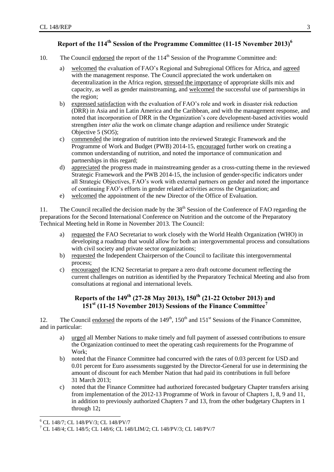## **Report of the 114th Session of the Programme Committee (11-15 November 2013)<sup>6</sup>**

- <span id="page-8-0"></span>10. The Council endorsed the report of the 114<sup>th</sup> Session of the Programme Committee and:
	- a) welcomed the evaluation of FAO's Regional and Subregional Offices for Africa, and agreed with the management response. The Council appreciated the work undertaken on decentralization in the Africa region, stressed the importance of appropriate skills mix and capacity, as well as gender mainstreaming, and welcomed the successful use of partnerships in the region;
	- b) expressed satisfaction with the evaluation of FAO's role and work in disaster risk reduction (DRR) in Asia and in Latin America and the Caribbean, and with the management response, and noted that incorporation of DRR in the Organization's core development-based activities would strengthen *inter alia* the work on climate change adaption and resilience under Strategic Objective 5 (SO5);
	- c) commended the integration of nutrition into the reviewed Strategic Framework and the Programme of Work and Budget (PWB) 2014-15, encouraged further work on creating a common understanding of nutrition, and noted the importance of communication and partnerships in this regard;
	- d) appreciated the progress made in mainstreaming gender as a cross-cutting theme in the reviewed Strategic Framework and the PWB 2014-15, the inclusion of gender-specific indicators under all Strategic Objectives, FAO's work with external partners on gender and noted the importance of continuing FAO's efforts in gender related activities across the Organization; and
	- e) welcomed the appointment of the new Director of the Office of Evaluation.

11. The Council recalled the decision made by the 38<sup>th</sup> Session of the Conference of FAO regarding the preparations for the Second International Conference on Nutrition and the outcome of the Preparatory Technical Meeting held in Rome in November 2013. The Council:

- a) requested the FAO Secretariat to work closely with the World Health Organization (WHO) in developing a roadmap that would allow for both an intergovernmental process and consultations with civil society and private sector organizations;
- b) requested the Independent Chairperson of the Council to facilitate this intergovernmental process;
- c) encouraged the ICN2 Secretariat to prepare a zero draft outcome document reflecting the current challenges on nutrition as identified by the Preparatory Technical Meeting and also from consultations at regional and international levels.

## **Reports of the 149th (27-28 May 2013), 150th (21-22 October 2013) and 151st (11-15 November 2013) Sessions of the Finance Committee<sup>7</sup>**

<span id="page-8-1"></span>12. The Council endorsed the reports of the 149<sup>th</sup>, 150<sup>th</sup> and 151<sup>st</sup> Sessions of the Finance Committee, and in particular:

- a) urged all Member Nations to make timely and full payment of assessed contributions to ensure the Organization continued to meet the operating cash requirements for the Programme of Work;
- b) noted that the Finance Committee had concurred with the rates of 0.03 percent for USD and 0.01 percent for Euro assessments suggested by the Director-General for use in determining the amount of discount for each Member Nation that had paid its contributions in full before 31 March 2013;
- c) noted that the Finance Committee had authorized forecasted budgetary Chapter transfers arising from implementation of the 2012-13 Programme of Work in favour of Chapters 1, 8, 9 and 11, in addition to previously authorized Chapters 7 and 13, from the other budgetary Chapters in 1 through 12**;**

l

<sup>&</sup>lt;sup>6</sup> CL 148/7; CL 148/PV/3; CL 148/PV/7

<sup>7</sup> CL 148/4; CL 148/5; CL 148/6; CL 148/LIM/2; CL 148/PV/3; CL 148/PV/7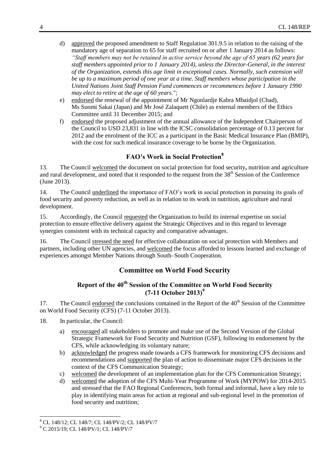- d) approved the proposed amendment to Staff Regulation 301.9.5 in relation to the raising of the mandatory age of separation to 65 for staff recruited on or after 1 January 2014 as follows: *"Staff members may not be retained in active service beyond the age of 65 years (62 years for staff members appointed prior to 1 January 2014), unless the Director-General, in the interest of the Organization, extends this age limit in exceptional cases. Normally, such extension will be up to a maximum period of one year at a time. Staff members whose participation in the United Nations Joint Staff Pension Fund commences or recommences before 1 January 1990 may elect to retire at the age of 60 years.";*
- e) endorsed the renewal of the appointment of Mr Ngonlardje Kabra Mbaidjol (Chad), Ms Suomi Sakai (Japan) and Mr José Zalaquett (Chile) as external members of the Ethics Committee until 31 December 2015; and
- f) endorsed the proposed adjustment of the annual allowance of the Independent Chairperson of the Council to USD 23,831 in line with the ICSC consolidation percentage of 0.13 percent for 2012 and the enrolment of the ICC as a participant in the Basic Medical Insurance Plan (BMIP), with the cost for such medical insurance coverage to be borne by the Organization.

## **FAO's Work in Social Protection<sup>8</sup>**

<span id="page-9-0"></span>13. The Council welcomed the document on social protection for food security**,** nutrition and agriculture and rural development, and noted that it responded to the request from the 38<sup>th</sup> Session of the Conference (June 2013).

14. The Council underlined the importance of FAO's work in social protection in pursuing its goals of food security and poverty reduction, as well as in relation to its work in nutrition, agriculture and rural development.

15. Accordingly, the Council requested the Organization to build its internal expertise on social protection to ensure effective delivery against the Strategic Objectives and in this regard to leverage synergies consistent with its technical capacity and comparative advantages.

<span id="page-9-1"></span>16. The Council stressed the need for effective collaboration on social protection with Members and partners, including other UN agencies, and welcomed the focus afforded to lessons learned and exchange of experiences amongst Member Nations through South–South Cooperation.

## **Committee on World Food Security**

## **Report of the 40th Session of the Committee on World Food Security (7-11 October 2013) 9**

<span id="page-9-2"></span>17. The Council endorsed the conclusions contained in the Report of the 40<sup>th</sup> Session of the Committee on World Food Security (CFS) (7-11 October 2013).

- 18. In particular, the Council:
	- a) encouraged all stakeholders to promote and make use of the Second Version of the Global Strategic Framework for Food Security and Nutrition (GSF), following its endorsement by the CFS, while acknowledging its voluntary nature;
	- b) acknowledged the progress made towards a CFS framework for monitoring CFS decisions and recommendations and supported the plan of action to disseminate major CFS decisions in the context of the CFS Communication Strategy;
	- c) welcomed the development of an implementation plan for the CFS Communication Strategy;
	- d) welcomed the adoption of the CFS Multi-Year Programme of Work (MYPOW) for 2014-2015 and stressed that the FAO Regional Conferences, both formal and informal, have a key role to play in identifying main areas for action at regional and sub-regional level in the promotion of food security and nutrition;

l

<sup>8</sup> CL 148/12; CL 148/7; CL 148/PV/2; CL 148/PV/7

<sup>9</sup> C 2015/19; CL 148/PV/1; CL 148/PV/7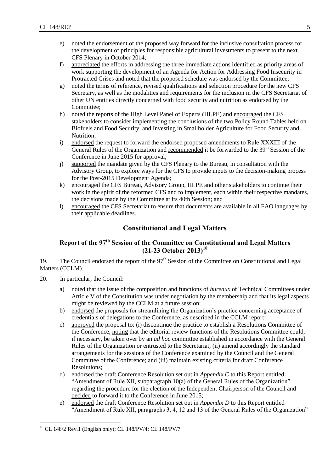- e) noted the endorsement of the proposed way forward for the inclusive consultation process for the development of principles for responsible agricultural investments to present to the next CFS Plenary in October 2014;
- f) appreciated the efforts in addressing the three immediate actions identified as priority areas of work supporting the development of an Agenda for Action for Addressing Food Insecurity in Protracted Crises and noted that the proposed schedule was endorsed by the Committee;
- g) noted the terms of reference, revised qualifications and selection procedure for the new CFS Secretary, as well as the modalities and requirements for the inclusion in the CFS Secretariat of other UN entities directly concerned with food security and nutrition as endorsed by the Committee;
- h) noted the reports of the High Level Panel of Experts (HLPE) and encouraged the CFS stakeholders to consider implementing the conclusions of the two Policy Round Tables held on Biofuels and Food Security, and Investing in Smallholder Agriculture for Food Security and Nutrition;
- i) endorsed the request to forward the endorsed proposed amendments to Rule XXXIII of the General Rules of the Organization and <u>recommended</u> it be forwarded to the 39<sup>th</sup> Session of the Conference in June 2015 for approval;
- j) supported the mandate given by the CFS Plenary to the Bureau, in consultation with the Advisory Group, to explore ways for the CFS to provide inputs to the decision-making process for the Post-2015 Development Agenda;
- k) encouraged the CFS Bureau, Advisory Group, HLPE and other stakeholders to continue their work in the spirit of the reformed CFS and to implement, each within their respective mandates, the decisions made by the Committee at its 40th Session; and
- <span id="page-10-0"></span>l) encouraged the CFS Secretariat to ensure that documents are available in all FAO languages by their applicable deadlines.

## **Constitutional and Legal Matters**

## <span id="page-10-1"></span>**Report of the 97th Session of the Committee on Constitutional and Legal Matters (21-23 October 2013)<sup>10</sup>**

<span id="page-10-2"></span>19. The Council endorsed the report of the 97<sup>th</sup> Session of the Committee on Constitutional and Legal Matters (CCLM).

- 20. In particular, the Council:
	- a) noted that the issue of the composition and functions of *bureaux* of Technical Committees under Article V of the Constitution was under negotiation by the membership and that its legal aspects might be reviewed by the CCLM at a future session;
	- b) endorsed the proposals for streamlining the Organization's practice concerning acceptance of credentials of delegations to the Conference, as described in the CCLM report;
	- c) approved the proposal to: (i) discontinue the practice to establish a Resolutions Committee of the Conference, noting that the editorial review functions of the Resolutions Committee could, if necessary, be taken over by an *ad hoc* committee established in accordance with the General Rules of the Organization or entrusted to the Secretariat; (ii) amend accordingly the standard arrangements for the sessions of the Conference examined by the Council and the General Committee of the Conference; and (iii) maintain existing criteria for draft Conference Resolutions;
	- d) endorsed the draft Conference Resolution set out in *Appendix C* to this Report entitled "Amendment of Rule XII, subparagraph 10(a) of the General Rules of the Organization" regarding the procedure for the election of the Independent Chairperson of the Council and decided to forward it to the Conference in June 2015;
	- e) endorsed the draft Conference Resolution set out in *Appendix D* to this Report entitled "Amendment of Rule XII, paragraphs 3, 4, 12 and 13 of the General Rules of the Organization"

 $\overline{a}$  $^{10}$  CL 148/2 Rev.1 (English only); CL 148/PV/4; CL 148/PV/7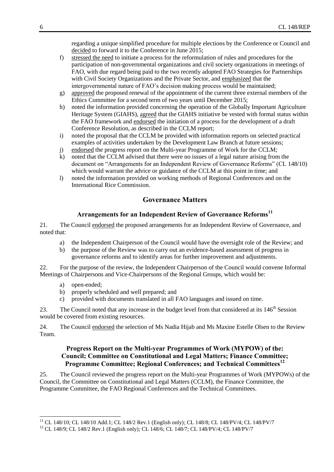regarding a unique simplified procedure for multiple elections by the Conference or Council and decided to forward it to the Conference in June 2015;

- f) stressed the need to initiate a process for the reformulation of rules and procedures for the participation of non-governmental organizations and civil society organizations in meetings of FAO, with due regard being paid to the two recently adopted FAO Strategies for Partnerships with Civil Society Organizations and the Private Sector, and emphasized that the intergovernmental nature of FAO's decision making process would be maintained;
- g) approved the proposed renewal of the appointment of the current three external members of the Ethics Committee for a second term of two years until December 2015;
- h) noted the information provided concerning the operation of the Globally Important Agriculture Heritage System (GIAHS), agreed that the GIAHS initiative be vested with formal status within the FAO framework and endorsed the initiation of a process for the development of a draft Conference Resolution, as described in the CCLM report;
- i) noted the proposal that the CCLM be provided with information reports on selected practical examples of activities undertaken by the Development Law Branch at future sessions;
- j) endorsed the progress report on the Multi-year Programme of Work for the CCLM;
- k) noted that the CCLM advised that there were no issues of a legal nature arising from the document on "Arrangements for an Independent Review of Governance Reforms" (CL 148/10) which would warrant the advice or guidance of the CCLM at this point in time; and
- <span id="page-11-0"></span>l) noted the information provided on working methods of Regional Conferences and on the International Rice Commission.

#### **Governance Matters**

## **Arrangements for an Independent Review of Governance Reforms<sup>11</sup>**

<span id="page-11-1"></span>21. The Council endorsed the proposed arrangements for an Independent Review of Governance, and noted that:

- a) the Independent Chairperson of the Council would have the oversight role of the Review; and
- b) the purpose of the Review was to carry out an evidence-based assessment of progress in governance reforms and to identify areas for further improvement and adjustments.

22. For the purpose of the review, the Independent Chairperson of the Council would convene Informal Meetings of Chairpersons and Vice-Chairpersons of the Regional Groups, which would be:

a) open-ended;

l

- b) properly scheduled and well prepared; and
- c) provided with documents translated in all FAO languages and issued on time.

23. The Council noted that any increase in the budget level from that considered at its 146<sup>th</sup> Session would be covered from existing resources.

<span id="page-11-2"></span>24. The Council endorsed the selection of Ms Nadia Hijab and Ms Maxine Estelle Olsen to the Review Team.

#### **Progress Report on the Multi-year Programmes of Work (MYPOW) of the: Council; Committee on Constitutional and Legal Matters; Finance Committee; Programme Committee; Regional Conferences; and Technical Committees<sup>12</sup>**

25. The Council reviewed the progress report on the Multi-year Programmes of Work (MYPOWs) of the Council, the Committee on Constitutional and Legal Matters (CCLM), the Finance Committee, the Programme Committee, the FAO Regional Conferences and the Technical Committees.

<sup>&</sup>lt;sup>11</sup> CL 148/10; CL 148/10 Add.1; CL 148/2 Rev.1 (English only); CL 148/8; CL 148/PV/4; CL 148/PV/7

<sup>&</sup>lt;sup>12</sup> CL 148/9; CL 148/2 Rev.1 (English only); CL 148/6; CL 148/7; CL 148/PV/4; CL 148/PV/7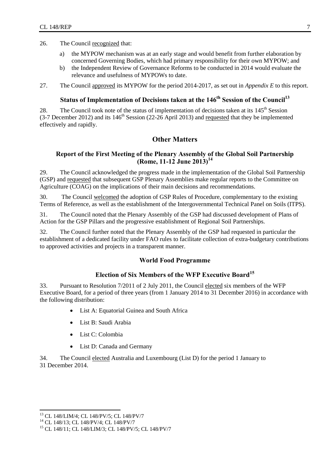- 26. The Council recognized that:
	- a) the MYPOW mechanism was at an early stage and would benefit from further elaboration by concerned Governing Bodies, which had primary responsibility for their own MYPOW; and
	- b) the Independent Review of Governance Reforms to be conducted in 2014 would evaluate the relevance and usefulness of MYPOWs to date.
- <span id="page-12-0"></span>27. The Council approved its MYPOW for the period 2014-2017, as set out in *Appendix E* to this report.

## **Status of Implementation of Decisions taken at the 146th Session of the Council<sup>13</sup>**

<span id="page-12-1"></span>28. The Council took note of the status of implementation of decisions taken at its  $145<sup>th</sup>$  Session (3-7 December 2012) and its  $146<sup>th</sup>$  Session (22-26 April 2013) and requested that they be implemented effectively and rapidly.

## **Other Matters**

#### <span id="page-12-2"></span>**Report of the First Meeting of the Plenary Assembly of the Global Soil Partnership (Rome, 11-12 June 2013)<sup>14</sup>**

29. The Council acknowledged the progress made in the implementation of the Global Soil Partnership (GSP) and requested that subsequent GSP Plenary Assemblies make regular reports to the Committee on Agriculture (COAG) on the implications of their main decisions and recommendations.

30. The Council welcomed the adoption of GSP Rules of Procedure, complementary to the existing Terms of Reference, as well as the establishment of the Intergovernmental Technical Panel on Soils (ITPS).

31. The Council noted that the Plenary Assembly of the GSP had discussed development of Plans of Action for the GSP Pillars and the progressive establishment of Regional Soil Partnerships.

<span id="page-12-3"></span>32. The Council further noted that the Plenary Assembly of the GSP had requested in particular the establishment of a dedicated facility under FAO rules to facilitate collection of extra-budgetary contributions to approved activities and projects in a transparent manner.

#### **World Food Programme**

#### **Election of Six Members of the WFP Executive Board<sup>15</sup>**

<span id="page-12-4"></span>33. Pursuant to Resolution 7/2011 of 2 July 2011, the Council elected six members of the WFP Executive Board, for a period of three years (from 1 January 2014 to 31 December 2016) in accordance with the following distribution:

- List A: Equatorial Guinea and South Africa
- List B: Saudi Arabia
- List C: Colombia
- List D: Canada and Germany

34. The Council elected Australia and Luxembourg (List D) for the period 1 January to 31 December 2014.

l

<sup>&</sup>lt;sup>13</sup> CL 148/LIM/4; CL 148/PV/5; CL 148/PV/7

<sup>&</sup>lt;sup>14</sup> CL 148/13; CL 148/PV/4; CL 148/PV/7

<sup>15</sup> CL 148/11; CL 148/LIM/3; CL 148/PV/5; CL 148/PV/7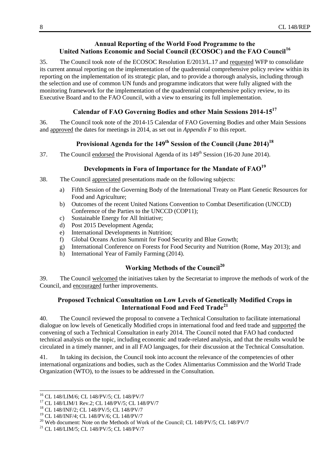#### **Annual Reporting of the World Food Programme to the United Nations Economic and Social Council (ECOSOC) and the FAO Council<sup>16</sup>**

<span id="page-13-0"></span>35. The Council took note of the ECOSOC Resolution E/2013/L.17 and requested WFP to consolidate its current annual reporting on the implementation of the quadrennial comprehensive policy review within its reporting on the implementation of its strategic plan, and to provide a thorough analysis, including through the selection and use of common UN funds and programme indicators that were fully aligned with the monitoring framework for the implementation of the quadrennial comprehensive policy review, to its Executive Board and to the FAO Council, with a view to ensuring its full implementation.

### **Calendar of FAO Governing Bodies and other Main Sessions 2014-15<sup>17</sup>**

<span id="page-13-1"></span>36. The Council took note of the 2014-15 Calendar of FAO Governing Bodies and other Main Sessions and approved the dates for meetings in 2014, as set out in *Appendix F* to this report.

## **Provisional Agenda for the 149th Session of the Council (June 2014)<sup>18</sup>**

<span id="page-13-3"></span><span id="page-13-2"></span>37. The Council endorsed the Provisional Agenda of its 149<sup>th</sup> Session (16-20 June 2014).

#### **Developments in Fora of Importance for the Mandate of FAO<sup>19</sup>**

- 38. The Council appreciated presentations made on the following subjects:
	- a) Fifth Session of the Governing Body of the International Treaty on Plant Genetic Resources for Food and Agriculture;
	- b) Outcomes of the recent United Nations Convention to Combat Desertification (UNCCD) Conference of the Parties to the UNCCD (COP11);
	- c) Sustainable Energy for All Initiative;
	- d) Post 2015 Development Agenda;
	- e) International Developments in Nutrition;
	- f) Global Oceans Action Summit for Food Security and Blue Growth;
	- g) International Conference on Forests for Food Security and Nutrition (Rome, May 2013); and
	- h) International Year of Family Farming (2014).

## **Working Methods of the Council<sup>20</sup>**

<span id="page-13-5"></span><span id="page-13-4"></span>39. The Council welcomed the initiatives taken by the Secretariat to improve the methods of work of the Council, and encouraged further improvements.

#### **Proposed Technical Consultation on Low Levels of Genetically Modified Crops in International Food and Feed Trade<sup>21</sup>**

40. The Council reviewed the proposal to convene a Technical Consultation to facilitate international dialogue on low levels of Genetically Modified crops in international food and feed trade and supported the convening of such a Technical Consultation in early 2014. The Council noted that FAO had conducted technical analysis on the topic, including economic and trade-related analysis, and that the results would be circulated in a timely manner, and in all FAO languages, for their discussion at the Technical Consultation.

41. In taking its decision, the Council took into account the relevance of the competencies of other international organizations and bodies, such as the Codex Alimentarius Commission and the World Trade Organization (WTO), to the issues to be addressed in the Consultation.

l

<sup>16</sup> CL 148/LIM/6; CL 148/PV/5; CL 148/PV/7

<sup>17</sup> CL 148/LIM/1 Rev.2; CL 148/PV/5; CL 148/PV/7

<sup>18</sup> CL 148/INF/2; CL 148/PV/5; CL 148/PV/7

<sup>19</sup> CL 148/INF/4; CL 148/PV/6; CL 148/PV/7

<sup>&</sup>lt;sup>20</sup> Web document: Note on the Methods of Work of the Council; CL 148/PV/5; CL 148/PV/7

<sup>21</sup> CL 148/LIM/5; CL 148/PV/5; CL 148/PV/7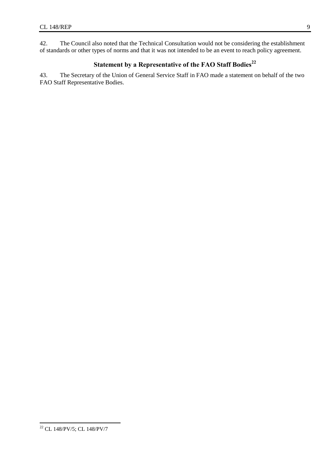<span id="page-14-0"></span>42. The Council also noted that the Technical Consultation would not be considering the establishment of standards or other types of norms and that it was not intended to be an event to reach policy agreement.

## **Statement by a Representative of the FAO Staff Bodies<sup>22</sup>**

43. The Secretary of the Union of General Service Staff in FAO made a statement on behalf of the two FAO Staff Representative Bodies.

 $\overline{a}$ <sup>22</sup> CL 148/PV/5; CL 148/PV/7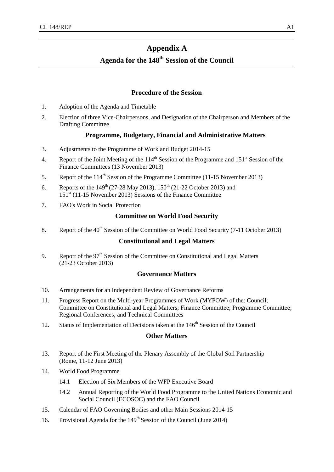## **Appendix A**

## **Agenda for the 148 th Session of the Council**

#### **Procedure of the Session**

- 1. Adoption of the Agenda and Timetable
- 2. Election of three Vice-Chairpersons, and Designation of the Chairperson and Members of the Drafting Committee

#### **Programme, Budgetary, Financial and Administrative Matters**

- 3. Adjustments to the Programme of Work and Budget 2014-15
- 4. Report of the Joint Meeting of the  $114<sup>th</sup>$  Session of the Programme and  $151<sup>st</sup>$  Session of the Finance Committees (13 November 2013)
- 5. Report of the 114<sup>th</sup> Session of the Programme Committee (11-15 November 2013)
- 6. Reports of the  $149^{th}$  (27-28 May 2013),  $150^{th}$  (21-22 October 2013) and  $151<sup>st</sup>$  (11-15 November 2013) Sessions of the Finance Committee
- 7. FAO's Work in Social Protection

#### **Committee on World Food Security**

8. Report of the  $40<sup>th</sup>$  Session of the Committee on World Food Security (7-11 October 2013)

#### **Constitutional and Legal Matters**

9. Report of the 97<sup>th</sup> Session of the Committee on Constitutional and Legal Matters (21-23 October 2013)

#### **Governance Matters**

- 10. Arrangements for an Independent Review of Governance Reforms
- 11. Progress Report on the Multi-year Programmes of Work (MYPOW) of the: Council; Committee on Constitutional and Legal Matters; Finance Committee; Programme Committee; Regional Conferences; and Technical Committees
- 12. Status of Implementation of Decisions taken at the 146<sup>th</sup> Session of the Council

- 13. Report of the First Meeting of the Plenary Assembly of the Global Soil Partnership (Rome, 11-12 June 2013)
- 14. World Food Programme
	- 14.1 Election of Six Members of the WFP Executive Board
	- 14.2 Annual Reporting of the World Food Programme to the United Nations Economic and Social Council (ECOSOC) and the FAO Council
- 15. Calendar of FAO Governing Bodies and other Main Sessions 2014-15
- 16. Provisional Agenda for the 149<sup>th</sup> Session of the Council (June 2014)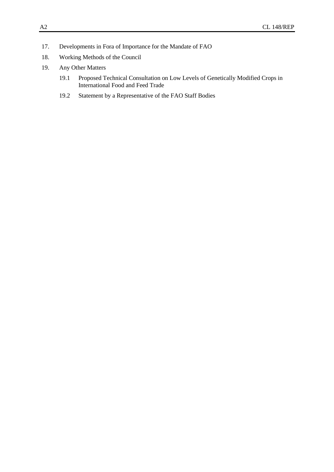- 17. Developments in Fora of Importance for the Mandate of FAO
- 18. Working Methods of the Council
- 19. Any Other Matters
	- 19.1 Proposed Technical Consultation on Low Levels of Genetically Modified Crops in International Food and Feed Trade
	- 19.2 Statement by a Representative of the FAO Staff Bodies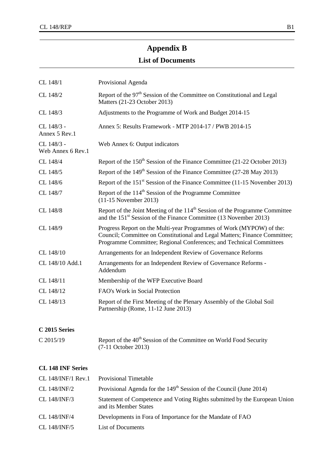## **Appendix B**

## **List of Documents**

| CL 148/1                        | Provisional Agenda                                                                                                                                                                                                        |
|---------------------------------|---------------------------------------------------------------------------------------------------------------------------------------------------------------------------------------------------------------------------|
| CL 148/2                        | Report of the 97 <sup>th</sup> Session of the Committee on Constitutional and Legal<br>Matters (21-23 October 2013)                                                                                                       |
| CL 148/3                        | Adjustments to the Programme of Work and Budget 2014-15                                                                                                                                                                   |
| CL 148/3 -<br>Annex 5 Rev.1     | Annex 5: Results Framework - MTP 2014-17 / PWB 2014-15                                                                                                                                                                    |
| CL 148/3 -<br>Web Annex 6 Rev.1 | Web Annex 6: Output indicators                                                                                                                                                                                            |
| CL 148/4                        | Report of the 150 <sup>th</sup> Session of the Finance Committee (21-22 October 2013)                                                                                                                                     |
| CL 148/5                        | Report of the 149 <sup>th</sup> Session of the Finance Committee (27-28 May 2013)                                                                                                                                         |
| CL 148/6                        | Report of the $151st$ Session of the Finance Committee (11-15 November 2013)                                                                                                                                              |
| CL 148/7                        | Report of the 114 <sup>th</sup> Session of the Programme Committee<br>$(11-15$ November 2013)                                                                                                                             |
| CL 148/8                        | Report of the Joint Meeting of the $114th$ Session of the Programme Committee<br>and the $151st$ Session of the Finance Committee (13 November 2013)                                                                      |
| CL 148/9                        | Progress Report on the Multi-year Programmes of Work (MYPOW) of the:<br>Council; Committee on Constitutional and Legal Matters; Finance Committee;<br>Programme Committee; Regional Conferences; and Technical Committees |
| CL 148/10                       | Arrangements for an Independent Review of Governance Reforms                                                                                                                                                              |
| CL 148/10 Add.1                 | Arrangements for an Independent Review of Governance Reforms -<br>Addendum                                                                                                                                                |
| CL 148/11                       | Membership of the WFP Executive Board                                                                                                                                                                                     |
| CL 148/12                       | FAO's Work in Social Protection                                                                                                                                                                                           |
| CL 148/13                       | Report of the First Meeting of the Plenary Assembly of the Global Soil<br>Partnership (Rome, 11-12 June 2013)                                                                                                             |

## **C 2015 Series**

| $C$ 2015/19 | Report of the 40 <sup>th</sup> Session of the Committee on World Food Security |
|-------------|--------------------------------------------------------------------------------|
|             | $(7-11$ October 2013)                                                          |

## **CL 148 INF Series**

|              | CL 148/INF/1 Rev.1 Provisional Timetable                                                           |
|--------------|----------------------------------------------------------------------------------------------------|
| CL 148/INF/2 | Provisional Agenda for the 149 <sup>th</sup> Session of the Council (June 2014)                    |
| CL 148/INF/3 | Statement of Competence and Voting Rights submitted by the European Union<br>and its Member States |
| CL 148/INF/4 | Developments in Fora of Importance for the Mandate of FAO                                          |
| CL 148/INF/5 | List of Documents                                                                                  |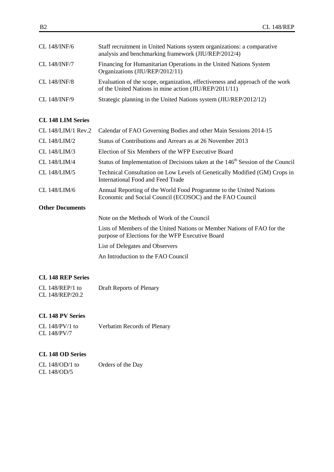| CL 148/INF/6 | Staff recruitment in United Nations system organizations: a comparative<br>analysis and benchmarking framework (JIU/REP/2012/4)         |
|--------------|-----------------------------------------------------------------------------------------------------------------------------------------|
| CL 148/INF/7 | Financing for Humanitarian Operations in the United Nations System<br>Organizations (JIU/REP/2012/11)                                   |
| CL 148/INF/8 | Evaluation of the scope, organization, effectiveness and approach of the work<br>of the United Nations in mine action (JIU/REP/2011/11) |
| CL 148/INF/9 | Strategic planning in the United Nations system (JIU/REP/2012/12)                                                                       |

#### **CL 148 LIM Series**

|                        | CL 148/LIM/1 Rev.2 Calendar of FAO Governing Bodies and other Main Sessions 2014-15                                            |
|------------------------|--------------------------------------------------------------------------------------------------------------------------------|
| CL $148/LIM/2$         | Status of Contributions and Arrears as at 26 November 2013                                                                     |
| CL $148/LIM/3$         | Election of Six Members of the WFP Executive Board                                                                             |
| CL 148/LIM/4           | Status of Implementation of Decisions taken at the 146 <sup>th</sup> Session of the Council                                    |
| CL 148/LIM/5           | Technical Consultation on Low Levels of Genetically Modified (GM) Crops in<br>International Food and Feed Trade                |
| CL 148/LIM/6           | Annual Reporting of the World Food Programme to the United Nations<br>Economic and Social Council (ECOSOC) and the FAO Council |
| <b>Other Documents</b> |                                                                                                                                |
|                        | Note on the Methods of Work of the Council                                                                                     |

Lists of Members of the United Nations or Member Nations of FAO for the purpose of Elections for the WFP Executive Board

List of Delegates and Observers

[An Introduction to the FAO Council](http://www.fao.org/fileadmin/user_upload/bodies/Council/IntroFAOCouncil.pdf)

#### **CL 148 REP Series**

| CL $148/REP/1$ to | Draft Reports of Plenary |
|-------------------|--------------------------|
| CL 148/REP/20.2   |                          |

## **CL 148 PV Series**

| CL $148/PV/1$ to | Verbatim Records of Plenary |
|------------------|-----------------------------|
| CL 148/PV/7      |                             |

#### **CL 148 OD Series**

| CL 148/OD/1 to | Orders of the Day |
|----------------|-------------------|
| CL 148/OD/5    |                   |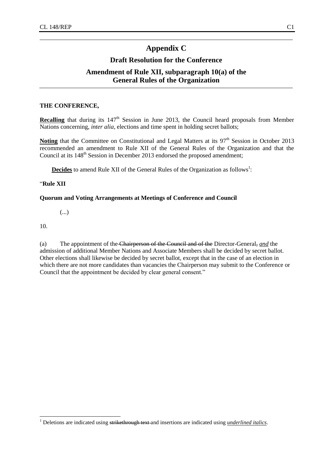## **Appendix C**

## **Draft Resolution for the Conference**

## **Amendment of Rule XII, subparagraph 10(a) of the General Rules of the Organization**

#### **THE CONFERENCE,**

Recalling that during its 147<sup>th</sup> Session in June 2013, the Council heard proposals from Member Nations concerning, *inter alia*, elections and time spent in holding secret ballots;

Noting that the Committee on Constitutional and Legal Matters at its 97<sup>th</sup> Session in October 2013 recommended an amendment to Rule XII of the General Rules of the Organization and that the Council at its 148<sup>th</sup> Session in December 2013 endorsed the proposed amendment;

Decides to amend Rule XII of the General Rules of the Organization as follows<sup>1</sup>:

#### "**Rule XII**

#### **Quorum and Voting Arrangements at Meetings of Conference and Council**

(...)

10.

l

(a) The appointment of the Chairperson of the Council and of the Director-General, *and* the admission of additional Member Nations and Associate Members shall be decided by secret ballot. Other elections shall likewise be decided by secret ballot, except that in the case of an election in which there are not more candidates than vacancies the Chairperson may submit to the Conference or Council that the appointment be decided by clear general consent."

<sup>&</sup>lt;sup>1</sup> Deletions are indicated using strikethrough text and insertions are indicated using *underlined italics*.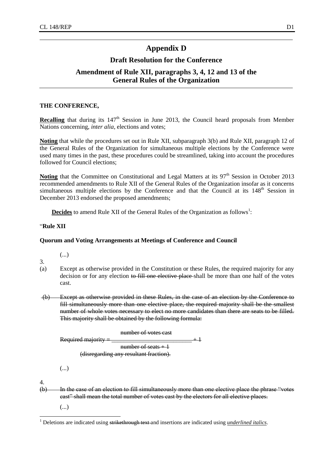## **Appendix D**

## **Draft Resolution for the Conference**

## **Amendment of Rule XII, paragraphs 3, 4, 12 and 13 of the General Rules of the Organization**

#### **THE CONFERENCE,**

**Recalling** that during its 147<sup>th</sup> Session in June 2013, the Council heard proposals from Member Nations concerning, *inter alia*, elections and votes;

**Noting** that while the procedures set out in Rule XII, subparagraph 3(b) and Rule XII, paragraph 12 of the General Rules of the Organization for simultaneous multiple elections by the Conference were used many times in the past, these procedures could be streamlined, taking into account the procedures followed for Council elections;

Noting that the Committee on Constitutional and Legal Matters at its 97<sup>th</sup> Session in October 2013 recommended amendments to Rule XII of the General Rules of the Organization insofar as it concerns simultaneous multiple elections by the Conference and that the Council at its  $148<sup>th</sup>$  Session in December 2013 endorsed the proposed amendments;

**Decides** to amend Rule XII of the General Rules of the Organization as follows<sup>1</sup>:

#### "**Rule XII**

#### **Quorum and Voting Arrangements at Meetings of Conference and Council**

3.

(...)

- (a) Except as otherwise provided in the Constitution or these Rules, the required majority for any decision or for any election to fill one elective place shall be more than one half of the votes cast.
- (b) Except as otherwise provided in these Rules, in the case of an election by the Conference to fill simultaneously more than one elective place, the required majority shall be the smallest number of whole votes necessary to elect no more candidates than there are seats to be filled. This majority shall be obtained by the following formula:

| number of votes cast                   |  |
|----------------------------------------|--|
| Required majority =                    |  |
| number of seats $+1$                   |  |
| (disregarding any resultant fraction). |  |
|                                        |  |

```
(...)
```
4.

l

(b) In the case of an election to fill simultaneously more than one elective place the phrase "votes cast" shall mean the total number of votes cast by the electors for all elective places.

(...)

<sup>&</sup>lt;sup>1</sup> Deletions are indicated using strikethrough text and insertions are indicated using *underlined italics*.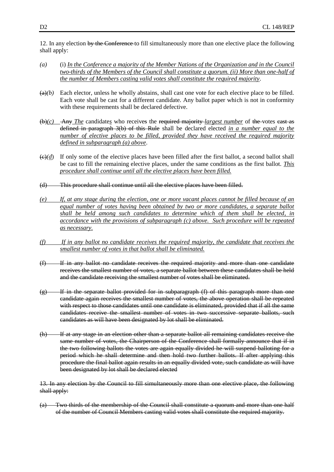12. In any election by the Conference-to fill simultaneously more than one elective place the following shall apply:

- *(a)* (i) *In the Conference a majority of the Member Nations of the Organization and in the Council two-thirds of the Members of the Council shall constitute a quorum. (ii) More than one-half of the number of Members casting valid votes shall constitute the required majority*.
- $(a)$ *(b)* Each elector, unless he wholly abstains, shall cast one vote for each elective place to be filled. Each vote shall be cast for a different candidate. Any ballot paper which is not in conformity with these requirements shall be declared defective.
- (b)*(c)* Any *The* candidate*s* who receives the required majority *largest number* of the votes cast as defined in paragraph 3(b) of this Rule shall be declared elected *in a number equal to the number of elective places to be filled, provided they have received the required majority defined in subparagraph (a) above*.
- $\left(\frac{e}{d}\right)$  If only some of the elective places have been filled after the first ballot, a second ballot shall be cast to fill the remaining elective places, under the same conditions as the first ballot. *This procedure shall continue until all the elective places have been filled.*
- (d) This procedure shall continue until all the elective places have been filled.
- *(e) If, at any stage during* the *election, one or more vacant places cannot be filled because of an equal number of votes having been obtained by two or more candidates, a separate ballot shall be held among such candidates to determine which of them shall be elected, in accordance with the provisions of subparagraph (c) above. Such procedure will be repeated as necessary.*
- *(f) If in any ballot no candidate receives the required majority, the candidate that receives the smallest number of votes in that ballot shall be eliminated.*
- (f) If in any ballot no candidate receives the required majority and more than one candidate receives the smallest number of votes, a separate ballot between these candidates shall be held and the candidate receiving the smallest number of votes shall be eliminated.
- (g) If in the separate ballot provided for in subparagraph (f) of this paragraph more than one candidate again receives the smallest number of votes, the above operation shall be repeated with respect to those candidates until one candidate is eliminated, provided that if all the same candidates receive the smallest number of votes in two successive separate ballots, such candidates as will have been designated by lot shall be eliminated.
- (h) If at any stage in an election other than a separate ballot all remaining candidates receive the same number of votes, the Chairperson of the Conference shall formally announce that if in the two following ballots the votes are again equally divided he will suspend balloting for a period which he shall determine and then hold two further ballots. If after applying this procedure the final ballot again results in an equally divided vote, such candidate as will have been designated by lot shall be declared elected

13. In any election by the Council to fill simultaneously more than one elective place, the following shall apply:

(a) Two thirds of the membership of the Council shall constitute a quorum and more than one half of the number of Council Members casting valid votes shall constitute the required majority.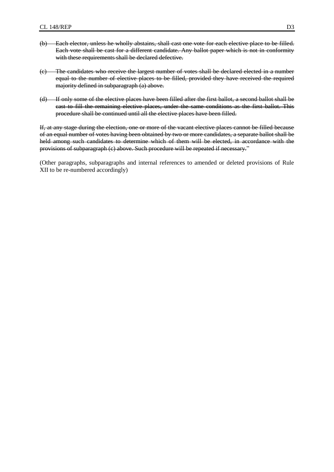- (b) Each elector, unless he wholly abstains, shall cast one vote for each elective place to be filled. Each vote shall be cast for a different candidate. Any ballot paper which is not in conformity with these requirements shall be declared defective.
- (c) The candidates who receive the largest number of votes shall be declared elected in a number equal to the number of elective places to be filled, provided they have received the required majority defined in subparagraph (a) above.
- (d) If only some of the elective places have been filled after the first ballot, a second ballot shall be cast to fill the remaining elective places, under the same conditions as the first ballot. This procedure shall be continued until all the elective places have been filled.

If, at any stage during the election, one or more of the vacant elective places cannot be filled because of an equal number of votes having been obtained by two or more candidates, a separate ballot shall be held among such candidates to determine which of them will be elected, in accordance with the provisions of subparagraph (c) above. Such procedure will be repeated if necessary."

(Other paragraphs, subparagraphs and internal references to amended or deleted provisions of Rule XII to be re-numbered accordingly)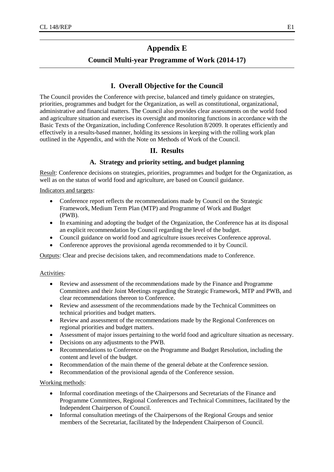## **Appendix E**

#### **Council Multi-year Programme of Work (2014-17)**

#### **I. Overall Objective for the Council**

The Council provides the Conference with precise, balanced and timely guidance on strategies, priorities, programmes and budget for the Organization, as well as constitutional, organizational, administrative and financial matters. The Council also provides clear assessments on the world food and agriculture situation and exercises its oversight and monitoring functions in accordance with the Basic Texts of the Organization, including Conference Resolution 8/2009. It operates efficiently and effectively in a results-based manner, holding its sessions in keeping with the rolling work plan outlined in the Appendix, and with the Note on Methods of Work of the Council.

#### **II. Results**

#### **A. Strategy and priority setting, and budget planning**

Result: Conference decisions on strategies, priorities, programmes and budget for the Organization, as well as on the status of world food and agriculture, are based on Council guidance.

Indicators and targets:

- Conference report reflects the recommendations made by Council on the Strategic Framework, Medium Term Plan (MTP) and Programme of Work and Budget (PWB).
- In examining and adopting the budget of the Organization, the Conference has at its disposal an explicit recommendation by Council regarding the level of the budget.
- Council guidance on world food and agriculture issues receives Conference approval.
- Conference approves the provisional agenda recommended to it by Council.

Outputs: Clear and precise decisions taken, and recommendations made to Conference.

#### Activities:

- Review and assessment of the recommendations made by the Finance and Programme Committees and their Joint Meetings regarding the Strategic Framework, MTP and PWB, and clear recommendations thereon to Conference.
- Review and assessment of the recommendations made by the Technical Committees on technical priorities and budget matters.
- Review and assessment of the recommendations made by the Regional Conferences on regional priorities and budget matters.
- Assessment of major issues pertaining to the world food and agriculture situation as necessary.
- Decisions on any adjustments to the PWB.
- Recommendations to Conference on the Programme and Budget Resolution, including the content and level of the budget.
- Recommendation of the main theme of the general debate at the Conference session.
- Recommendation of the provisional agenda of the Conference session.

#### Working methods:

- Informal coordination meetings of the Chairpersons and Secretariats of the Finance and Programme Committees, Regional Conferences and Technical Committees, facilitated by the Independent Chairperson of Council.
- Informal consultation meetings of the Chairpersons of the Regional Groups and senior members of the Secretariat, facilitated by the Independent Chairperson of Council.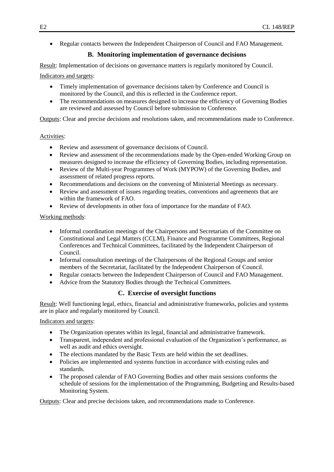Regular contacts between the Independent Chairperson of Council and FAO Management.

## **B. Monitoring implementation of governance decisions**

Result: Implementation of decisions on governance matters is regularly monitored by Council.

#### Indicators and targets:

- Timely implementation of governance decisions taken by Conference and Council is monitored by the Council, and this is reflected in the Conference report.
- The recommendations on measures designed to increase the efficiency of Governing Bodies are reviewed and assessed by Council before submission to Conference.

Outputs: Clear and precise decisions and resolutions taken, and recommendations made to Conference.

#### Activities:

- Review and assessment of governance decisions of Council.
- Review and assessment of the recommendations made by the Open-ended Working Group on measures designed to increase the efficiency of Governing Bodies, including representation.
- Review of the Multi-year Programmes of Work (MYPOW) of the Governing Bodies, and assessment of related progress reports.
- Recommendations and decisions on the convening of Ministerial Meetings as necessary.
- Review and assessment of issues regarding treaties, conventions and agreements that are within the framework of FAO.
- Review of developments in other fora of importance for the mandate of FAO.

#### Working methods:

- Informal coordination meetings of the Chairpersons and Secretariats of the Committee on Constitutional and Legal Matters (CCLM), Finance and Programme Committees, Regional Conferences and Technical Committees, facilitated by the Independent Chairperson of Council.
- Informal consultation meetings of the Chairpersons of the Regional Groups and senior members of the Secretariat, facilitated by the Independent Chairperson of Council.
- Regular contacts between the Independent Chairperson of Council and FAO Management.
- Advice from the Statutory Bodies through the Technical Committees.

#### **C. Exercise of oversight functions**

Result: Well functioning legal, ethics, financial and administrative frameworks, policies and systems are in place and regularly monitored by Council.

Indicators and targets:

- The Organization operates within its legal, financial and administrative framework.
- Transparent, independent and professional evaluation of the Organization's performance, as well as audit and ethics oversight.
- The elections mandated by the Basic Texts are held within the set deadlines.
- Policies are implemented and systems function in accordance with existing rules and standards.
- The proposed calendar of FAO Governing Bodies and other main sessions conforms the schedule of sessions for the implementation of the Programming, Budgeting and Results-based Monitoring System.

Outputs: Clear and precise decisions taken, and recommendations made to Conference.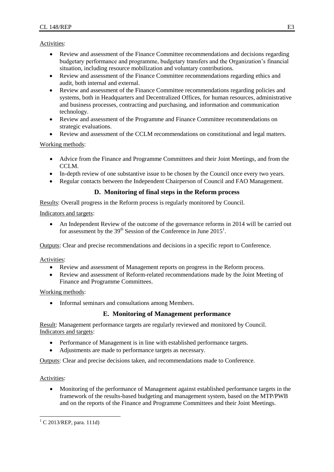Activities:

- Review and assessment of the Finance Committee recommendations and decisions regarding budgetary performance and programme, budgetary transfers and the Organization's financial situation, including resource mobilization and voluntary contributions.
- Review and assessment of the Finance Committee recommendations regarding ethics and audit, both internal and external.
- Review and assessment of the Finance Committee recommendations regarding policies and systems, both in Headquarters and Decentralized Offices, for human resources, administrative and business processes, contracting and purchasing, and information and communication technology.
- Review and assessment of the Programme and Finance Committee recommendations on strategic evaluations.
- Review and assessment of the CCLM recommendations on constitutional and legal matters.

Working methods:

- Advice from the Finance and Programme Committees and their Joint Meetings, and from the CCLM.
- In-depth review of one substantive issue to be chosen by the Council once every two years.
- Regular contacts between the Independent Chairperson of Council and FAO Management.

#### **D. Monitoring of final steps in the Reform process**

Results: Overall progress in the Reform process is regularly monitored by Council.

Indicators and targets:

 An Independent Review of the outcome of the governance reforms in 2014 will be carried out for assessment by the  $39<sup>th</sup>$  Session of the Conference in June  $2015<sup>1</sup>$ .

Outputs: Clear and precise recommendations and decisions in a specific report to Conference.

Activities:

- Review and assessment of Management reports on progress in the Reform process.
- Review and assessment of Reform-related recommendations made by the Joint Meeting of Finance and Programme Committees.

Working methods:

• Informal seminars and consultations among Members.

#### **E. Monitoring of Management performance**

Result: Management performance targets are regularly reviewed and monitored by Council. Indicators and targets:

- Performance of Management is in line with established performance targets.
- Adjustments are made to performance targets as necessary.

Outputs: Clear and precise decisions taken, and recommendations made to Conference.

Activities:

l

 Monitoring of the performance of Management against established performance targets in the framework of the results-based budgeting and management system, based on the MTP/PWB and on the reports of the Finance and Programme Committees and their Joint Meetings.

 $^{1}$  C 2013/REP, para. 111d)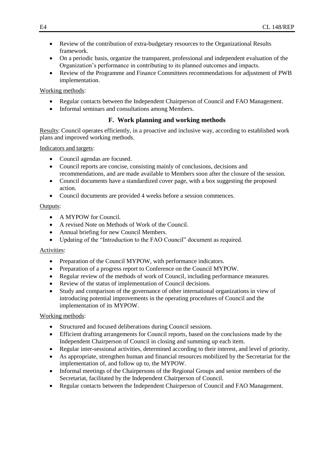- Review of the contribution of extra-budgetary resources to the Organizational Results framework.
- On a periodic basis, organize the transparent, professional and independent evaluation of the Organization's performance in contributing to its planned outcomes and impacts.
- Review of the Programme and Finance Committees recommendations for adjustment of PWB implementation.

#### Working methods:

- Regular contacts between the Independent Chairperson of Council and FAO Management.
- Informal seminars and consultations among Members.

#### **F. Work planning and working methods**

Results: Council operates efficiently, in a proactive and inclusive way, according to established work plans and improved working methods.

#### Indicators and targets:

- Council agendas are focused.
- Council reports are concise, consisting mainly of conclusions, decisions and recommendations, and are made available to Members soon after the closure of the session.
- Council documents have a standardized cover page, with a box suggesting the proposed action.
- Council documents are provided 4 weeks before a session commences.

#### Outputs:

- A MYPOW for Council.
- A revised Note on Methods of Work of the Council.
- Annual briefing for new Council Members.
- Updating of the "Introduction to the FAO Council" document as required.

#### Activities:

- Preparation of the Council MYPOW, with performance indicators.
- Preparation of a progress report to Conference on the Council MYPOW.
- Regular review of the methods of work of Council, including performance measures.
- Review of the status of implementation of Council decisions.
- Study and comparison of the governance of other international organizations in view of introducing potential improvements in the operating procedures of Council and the implementation of its MYPOW.

#### Working methods:

- Structured and focused deliberations during Council sessions.
- Efficient drafting arrangements for Council reports, based on the conclusions made by the Independent Chairperson of Council in closing and summing up each item.
- Regular inter-sessional activities, determined according to their interest, and level of priority.
- As appropriate, strengthen human and financial resources mobilized by the Secretariat for the implementation of, and follow up to, the MYPOW.
- Informal meetings of the Chairpersons of the Regional Groups and senior members of the Secretariat, facilitated by the Independent Chairperson of Council.
- Regular contacts between the Independent Chairperson of Council and FAO Management.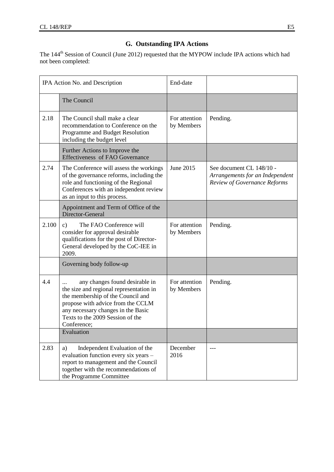## **G. Outstanding IPA Actions**

The 144<sup>th</sup> Session of Council (June 2012) requested that the MYPOW include IPA actions which had not been completed:

| IPA Action No. and Description |                                                                                                                                                                                                                                              | End-date                    |                                                                                                    |
|--------------------------------|----------------------------------------------------------------------------------------------------------------------------------------------------------------------------------------------------------------------------------------------|-----------------------------|----------------------------------------------------------------------------------------------------|
|                                | The Council                                                                                                                                                                                                                                  |                             |                                                                                                    |
| 2.18                           | The Council shall make a clear<br>recommendation to Conference on the<br>Programme and Budget Resolution<br>including the budget level                                                                                                       | For attention<br>by Members | Pending.                                                                                           |
|                                | Further Actions to Improve the<br><b>Effectiveness of FAO Governance</b>                                                                                                                                                                     |                             |                                                                                                    |
| 2.74                           | The Conference will assess the workings<br>of the governance reforms, including the<br>role and functioning of the Regional<br>Conferences with an independent review<br>as an input to this process.                                        | June 2015                   | See document CL 148/10 -<br>Arrangements for an Independent<br><b>Review of Governance Reforms</b> |
|                                | Appointment and Term of Office of the<br>Director-General                                                                                                                                                                                    |                             |                                                                                                    |
| 2.100                          | The FAO Conference will<br>$\mathbf{c})$<br>consider for approval desirable<br>qualifications for the post of Director-<br>General developed by the CoC-IEE in<br>2009.                                                                      | For attention<br>by Members | Pending.                                                                                           |
|                                | Governing body follow-up                                                                                                                                                                                                                     |                             |                                                                                                    |
| 4.4                            | any changes found desirable in<br>the size and regional representation in<br>the membership of the Council and<br>propose with advice from the CCLM<br>any necessary changes in the Basic<br>Texts to the 2009 Session of the<br>Conference: | For attention<br>by Members | Pending.                                                                                           |
|                                | Evaluation                                                                                                                                                                                                                                   |                             |                                                                                                    |
| 2.83                           | Independent Evaluation of the<br>a)<br>evaluation function every six years -<br>report to management and the Council<br>together with the recommendations of<br>the Programme Committee                                                      | December<br>2016            |                                                                                                    |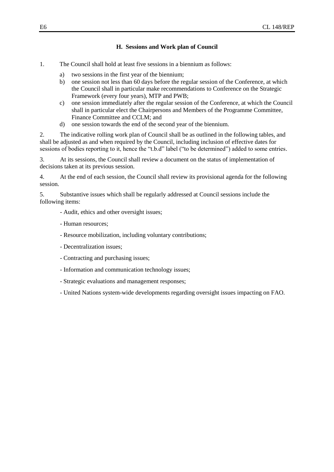#### **H. Sessions and Work plan of Council**

- 1. The Council shall hold at least five sessions in a biennium as follows:
	- a) two sessions in the first year of the biennium;
	- b) one session not less than 60 days before the regular session of the Conference, at which the Council shall in particular make recommendations to Conference on the Strategic Framework (every four years), MTP and PWB;
	- c) one session immediately after the regular session of the Conference, at which the Council shall in particular elect the Chairpersons and Members of the Programme Committee, Finance Committee and CCLM; and
	- d) one session towards the end of the second year of the biennium.

2. The indicative rolling work plan of Council shall be as outlined in the following tables, and shall be adjusted as and when required by the Council, including inclusion of effective dates for sessions of bodies reporting to it, hence the "t.b.d" label ("to be determined") added to some entries.

3. At its sessions, the Council shall review a document on the status of implementation of decisions taken at its previous session.

4. At the end of each session, the Council shall review its provisional agenda for the following session.

5. Substantive issues which shall be regularly addressed at Council sessions include the following items:

- Audit, ethics and other oversight issues;
- Human resources;
- Resource mobilization, including voluntary contributions;
- Decentralization issues;
- Contracting and purchasing issues;
- Information and communication technology issues;
- Strategic evaluations and management responses;
- United Nations system-wide developments regarding oversight issues impacting on FAO.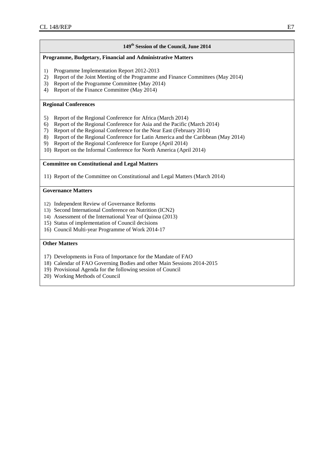#### **149th Session of the Council, June 2014**

#### **Programme, Budgetary, Financial and Administrative Matters**

- 1) Programme Implementation Report 2012-2013
- 2) Report of the Joint Meeting of the Programme and Finance Committees (May 2014)
- 3) Report of the Programme Committee (May 2014)
- 4) Report of the Finance Committee (May 2014)

#### **Regional Conferences**

- 5) Report of the Regional Conference for Africa (March 2014)
- 6) Report of the Regional Conference for Asia and the Pacific (March 2014)
- 7) Report of the Regional Conference for the Near East (February 2014)
- 8) Report of the Regional Conference for Latin America and the Caribbean (May 2014)<br>9) Report of the Regional Conference for Europe (April 2014)
- Report of the Regional Conference for Europe (April 2014)
- 10) Report on the Informal Conference for North America (April 2014)

#### **Committee on Constitutional and Legal Matters**

11) Report of the Committee on Constitutional and Legal Matters (March 2014)

#### **Governance Matters**

- 12) Independent Review of Governance Reforms
- 13) Second International Conference on Nutrition (ICN2)
- 14) Assessment of the International Year of Quinoa (2013)
- 15) Status of implementation of Council decisions
- 16) Council Multi-year Programme of Work 2014-17

- 17) Developments in Fora of Importance for the Mandate of FAO
- 18) Calendar of FAO Governing Bodies and other Main Sessions 2014-2015
- 19) Provisional Agenda for the following session of Council
- 20) Working Methods of Council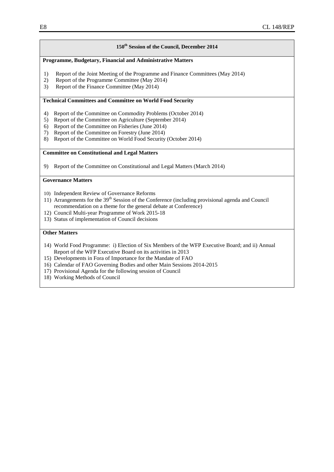#### **150th Session of the Council, December 2014**

#### **Programme, Budgetary, Financial and Administrative Matters**

- 1) Report of the Joint Meeting of the Programme and Finance Committees (May 2014)
- 2) Report of the Programme Committee (May 2014)
- 3) Report of the Finance Committee (May 2014)

#### **Technical Committees and Committee on World Food Security**

- 4) Report of the Committee on Commodity Problems (October 2014)
- 5) Report of the Committee on Agriculture (September 2014)
- 6) Report of the Committee on Fisheries (June 2014)
- 7) Report of the Committee on Forestry (June 2014)
- 8) Report of the Committee on World Food Security (October 2014)

#### **Committee on Constitutional and Legal Matters**

9) Report of the Committee on Constitutional and Legal Matters (March 2014)

#### **Governance Matters**

- 10) Independent Review of Governance Reforms
- 11) Arrangements for the  $39<sup>th</sup>$  Session of the Conference (including provisional agenda and Council recommendation on a theme for the general debate at Conference)
- 12) Council Multi-year Programme of Work 2015-18
- 13) Status of implementation of Council decisions

- 14) World Food Programme: i) Election of Six Members of the WFP Executive Board; and ii) Annual Report of the WFP Executive Board on its activities in 2013
- 15) Developments in Fora of Importance for the Mandate of FAO
- 16) Calendar of FAO Governing Bodies and other Main Sessions 2014-2015
- 17) Provisional Agenda for the following session of Council
- 18) Working Methods of Council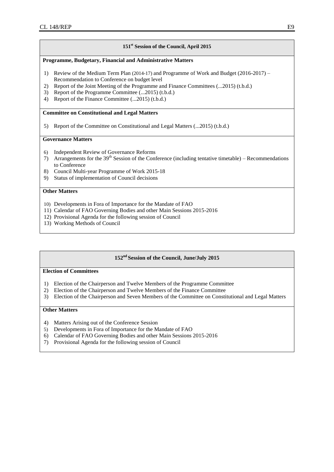#### **151st Session of the Council, April 2015**

#### **Programme, Budgetary, Financial and Administrative Matters**

- 1) Review of the Medium Term Plan (2014-17) and Programme of Work and Budget (2016-2017) Recommendation to Conference on budget level
- 2) Report of the Joint Meeting of the Programme and Finance Committees (...2015) (t.b.d.)
- 3) Report of the Programme Committee (...2015) (t.b.d.)
- 4) Report of the Finance Committee (...2015) (t.b.d.)

#### **Committee on Constitutional and Legal Matters**

5) Report of the Committee on Constitutional and Legal Matters (...2015) (t.b.d.)

#### **Governance Matters**

- 6) Independent Review of Governance Reforms
- 7) Arrangements for the  $39<sup>th</sup>$  Session of the Conference (including tentative timetable) Recommendations to Conference
- 8) Council Multi-year Programme of Work 2015-18
- 9) Status of implementation of Council decisions

#### **Other Matters**

- 10) Developments in Fora of Importance for the Mandate of FAO
- 11) Calendar of FAO Governing Bodies and other Main Sessions 2015-2016
- 12) Provisional Agenda for the following session of Council
- 13) Working Methods of Council

#### **152nd Session of the Council, June/July 2015**

#### **Election of Committees**

- 1) Election of the Chairperson and Twelve Members of the Programme Committee
- 2) Election of the Chairperson and Twelve Members of the Finance Committee
- 3) Election of the Chairperson and Seven Members of the Committee on Constitutional and Legal Matters

- 4) Matters Arising out of the Conference Session
- 5) Developments in Fora of Importance for the Mandate of FAO
- 6) Calendar of FAO Governing Bodies and other Main Sessions 2015-2016
- 7) Provisional Agenda for the following session of Council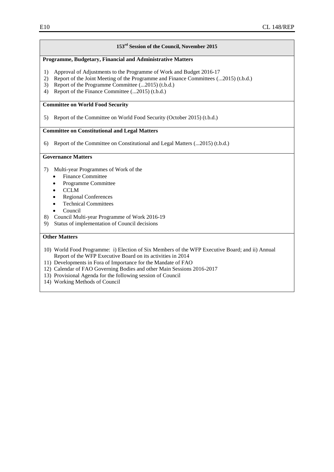#### **153rd Session of the Council, November 2015**

#### **Programme, Budgetary, Financial and Administrative Matters**

- 1) Approval of Adjustments to the Programme of Work and Budget 2016-17
- 2) Report of the Joint Meeting of the Programme and Finance Committees (...2015) (t.b.d.)
- 3) Report of the Programme Committee (...2015) (t.b.d.)<br>4) Report of the Finance Committee (...2015) (t.b.d.)
- Report of the Finance Committee (...2015) (t.b.d.)

#### **Committee on World Food Security**

5) Report of the Committee on World Food Security (October 2015) (t.b.d.)

#### **Committee on Constitutional and Legal Matters**

6) Report of the Committee on Constitutional and Legal Matters (...2015) (t.b.d.)

#### **Governance Matters**

- 7) Multi-year Programmes of Work of the
	- Finance Committee
	- Programme Committee
	- **CCLM**
	- Regional Conferences
	- Technical Committees
	- Council
- 8) Council Multi-year Programme of Work 2016-19<br>9) Status of implementation of Council decisions
	- Status of implementation of Council decisions

- 10) World Food Programme: i) Election of Six Members of the WFP Executive Board; and ii) Annual Report of the WFP Executive Board on its activities in 2014
- 11) Developments in Fora of Importance for the Mandate of FAO
- 12) Calendar of FAO Governing Bodies and other Main Sessions 2016-2017
- 13) Provisional Agenda for the following session of Council
- 14) Working Methods of Council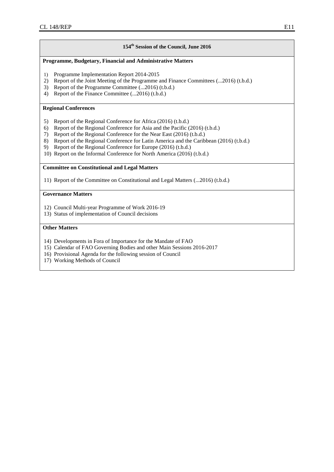#### **154th Session of the Council, June 2016**

#### **Programme, Budgetary, Financial and Administrative Matters**

- 1) Programme Implementation Report 2014-2015
- 2) Report of the Joint Meeting of the Programme and Finance Committees (...2016) (t.b.d.)
- 3) Report of the Programme Committee (...2016) (t.b.d.)
- 4) Report of the Finance Committee (...2016) (t.b.d.)

#### **Regional Conferences**

- 5) Report of the Regional Conference for Africa (2016) (t.b.d.)
- 6) Report of the Regional Conference for Asia and the Pacific (2016) (t.b.d.)
- 
- 7) Report of the Regional Conference for the Near East (2016) (t.b.d.)<br>8) Report of the Regional Conference for Latin America and the Carib 8) Report of the Regional Conference for Latin America and the Caribbean (2016) (t.b.d.)
- 9) Report of the Regional Conference for Europe (2016) (t.b.d.)
- 10) Report on the Informal Conference for North America (2016) (t.b.d.)

#### **Committee on Constitutional and Legal Matters**

11) Report of the Committee on Constitutional and Legal Matters (...2016) (t.b.d.)

#### **Governance Matters**

- 12) Council Multi-year Programme of Work 2016-19
- 13) Status of implementation of Council decisions

- 14) Developments in Fora of Importance for the Mandate of FAO
- 15) Calendar of FAO Governing Bodies and other Main Sessions 2016-2017
- 16) Provisional Agenda for the following session of Council
- 17) Working Methods of Council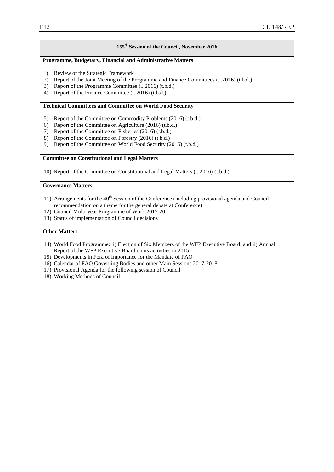#### **155 th Session of the Council, November 2016**

#### **Programme, Budgetary, Financial and Administrative Matters**

- 1) Review of the Strategic Framework
- 2) Report of the Joint Meeting of the Programme and Finance Committees (...2016) (t.b.d.)
- 3) Report of the Programme Committee (...2016) (t.b.d.)
- 4) Report of the Finance Committee (...2016) (t.b.d.)

#### **Technical Committees and Committee on World Food Security**

- 5) Report of the Committee on Commodity Problems (2016) (t.b.d.)
- 6) Report of the Committee on Agriculture (2016) (t.b.d.)
- 7) Report of the Committee on Fisheries (2016) (t.b.d.)
- 8) Report of the Committee on Forestry (2016) (t.b.d.)
- 9) Report of the Committee on World Food Security (2016) (t.b.d.)

#### **Committee on Constitutional and Legal Matters**

10) Report of the Committee on Constitutional and Legal Matters (...2016) (t.b.d.)

#### **Governance Matters**

- 11) Arrangements for the  $40<sup>th</sup>$  Session of the Conference (including provisional agenda and Council recommendation on a theme for the general debate at Conference)
- 12) Council Multi-year Programme of Work 2017-20
- 13) Status of implementation of Council decisions

- 14) World Food Programme: i) Election of Six Members of the WFP Executive Board; and ii) Annual Report of the WFP Executive Board on its activities in 2015
- 15) Developments in Fora of Importance for the Mandate of FAO
- 16) Calendar of FAO Governing Bodies and other Main Sessions 2017-2018
- 17) Provisional Agenda for the following session of Council
- 18) Working Methods of Council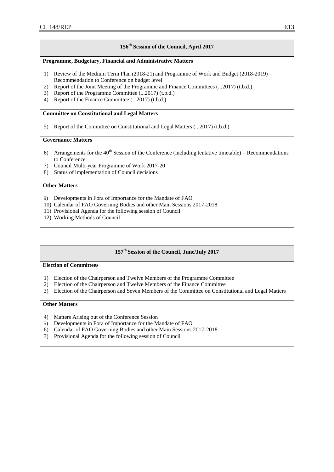#### **156 th Session of the Council, April 2017**

#### **Programme, Budgetary, Financial and Administrative Matters**

- 1) Review of the Medium Term Plan (2018-21) and Programme of Work and Budget (2018-2019) Recommendation to Conference on budget level
- 2) Report of the Joint Meeting of the Programme and Finance Committees (...2017) (t.b.d.)<br>3) Report of the Programme Committee (...2017) (t.b.d.)
- Report of the Programme Committee (...2017) (t.b.d.)
- 4) Report of the Finance Committee (...2017) (t.b.d.)

#### **Committee on Constitutional and Legal Matters**

5) Report of the Committee on Constitutional and Legal Matters (...2017) (t.b.d.)

#### **Governance Matters**

- 6) Arrangements for the  $40<sup>th</sup>$  Session of the Conference (including tentative timetable) Recommendations to Conference
- 7) Council Multi-year Programme of Work 2017-20
- 8) Status of implementation of Council decisions

#### **Other Matters**

- 9) Developments in Fora of Importance for the Mandate of FAO
- 10) Calendar of FAO Governing Bodies and other Main Sessions 2017-2018
- 11) Provisional Agenda for the following session of Council
- 12) Working Methods of Council

#### **157 th Session of the Council, June/July 2017**

#### **Election of Committees**

- 1) Election of the Chairperson and Twelve Members of the Programme Committee
- 2) Election of the Chairperson and Twelve Members of the Finance Committee
- 3) Election of the Chairperson and Seven Members of the Committee on Constitutional and Legal Matters

- 4) Matters Arising out of the Conference Session
- 5) Developments in Fora of Importance for the Mandate of FAO
- 6) Calendar of FAO Governing Bodies and other Main Sessions 2017-2018
- 7) Provisional Agenda for the following session of Council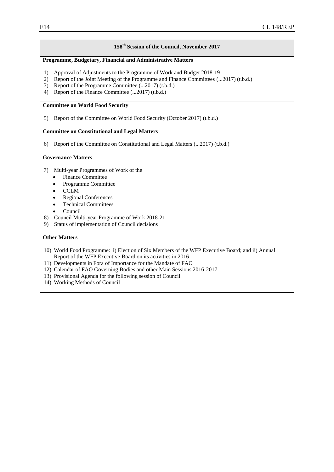#### **158 th Session of the Council, November 2017**

#### **Programme, Budgetary, Financial and Administrative Matters**

- 1) Approval of Adjustments to the Programme of Work and Budget 2018-19
- 2) Report of the Joint Meeting of the Programme and Finance Committees (...2017) (t.b.d.)
- 3) Report of the Programme Committee (...2017) (t.b.d.)<br>4) Report of the Finance Committee (...2017) (t.b.d.)
- Report of the Finance Committee (...2017) (t.b.d.)

#### **Committee on World Food Security**

5) Report of the Committee on World Food Security (October 2017) (t.b.d.)

#### **Committee on Constitutional and Legal Matters**

6) Report of the Committee on Constitutional and Legal Matters (...2017) (t.b.d.)

#### **Governance Matters**

- 7) Multi-year Programmes of Work of the
	- Finance Committee
	- Programme Committee
	- **CCLM**
	- Regional Conferences
	- Technical Committees
	- Council
- 8) Council Multi-year Programme of Work 2018-21
- 9) Status of implementation of Council decisions

- 10) World Food Programme: i) Election of Six Members of the WFP Executive Board; and ii) Annual Report of the WFP Executive Board on its activities in 2016
- 11) Developments in Fora of Importance for the Mandate of FAO
- 12) Calendar of FAO Governing Bodies and other Main Sessions 2016-2017
- 13) Provisional Agenda for the following session of Council
- 14) Working Methods of Council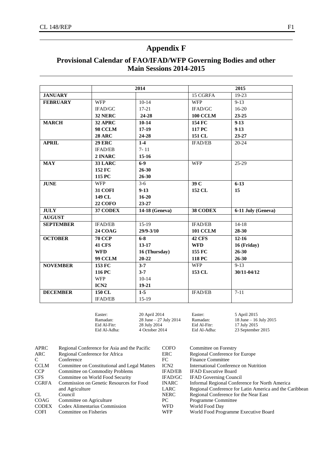## **Appendix F**

## **Provisional Calendar of FAO/IFAD/WFP Governing Bodies and other Main Sessions 2014-2015**

|                  |                  | 2014           |                 | 2015               |
|------------------|------------------|----------------|-----------------|--------------------|
| <b>JANUARY</b>   |                  |                | 15 CGRFA        | 19-23              |
| <b>FEBRUARY</b>  | <b>WFP</b>       | $10-14$        | <b>WFP</b>      | $9-13$             |
|                  | IFAD/GC          | $17-21$        | IFAD/GC         | $16-20$            |
|                  | 32 NERC          | 24-28          | <b>100 CCLM</b> | $23 - 25$          |
| <b>MARCH</b>     | 32 APRC          | $10 - 14$      | 154 FC          | $9-13$             |
|                  | <b>98 CCLM</b>   | $17-19$        | 117 PC          | $9-13$             |
|                  | <b>28 ARC</b>    | 24-28          | 151 CL          | 23-27              |
| <b>APRIL</b>     | <b>29 ERC</b>    | $1-4$          | <b>IFAD/EB</b>  | $20 - 24$          |
|                  | <b>IFAD/EB</b>   | $7 - 11$       |                 |                    |
|                  | 2 INARC          | $15 - 16$      |                 |                    |
| <b>MAY</b>       | 33 LARC          | $6-9$          | <b>WFP</b>      | $25-29$            |
|                  | 152 FC           | $26 - 30$      |                 |                    |
|                  | 115 PC           | $26 - 30$      |                 |                    |
| <b>JUNE</b>      | <b>WFP</b>       | $3-6$          | 39 C            | $6 - 13$           |
|                  | <b>31 COFI</b>   | $9-13$         | 152 CL          | 15                 |
|                  | 149 CL           | $16 - 20$      |                 |                    |
|                  | <b>22 COFO</b>   | $23 - 27$      |                 |                    |
| <b>JULY</b>      | 37 CODEX         | 14-18 (Geneva) | 38 CODEX        | 6-11 July (Geneva) |
| <b>AUGUST</b>    |                  |                |                 |                    |
| <b>SEPTEMBER</b> | <b>IFAD/EB</b>   | $15-19$        | <b>IFAD/EB</b>  | $14-18$            |
|                  | <b>24 COAG</b>   | $29/9 - 3/10$  | <b>101 CCLM</b> | 28-30              |
| <b>OCTOBER</b>   | <b>70 CCP</b>    | $6-8$          | <b>42 CFS</b>   | $12 - 16$          |
|                  | 41 CFS           | 13-17          | <b>WFD</b>      | 16 (Friday)        |
|                  | <b>WFD</b>       | 16 (Thursday)  | 155 FC          | 26-30              |
|                  | <b>99 CCLM</b>   | $20 - 22$      | 118 PC          | $26 - 30$          |
| <b>NOVEMBER</b>  | 153 FC           | $3 - 7$        | <b>WFP</b>      | $9-13$             |
|                  | 116 PC           | $3 - 7$        | 153 CL          | 30/11-04/12        |
|                  | <b>WFP</b>       | $10-14$        |                 |                    |
|                  | ICN <sub>2</sub> | $19-21$        |                 |                    |
| <b>DECEMBER</b>  | 150 CL           | $1-5$          | <b>IFAD/EB</b>  | $7-11$             |
|                  | <b>IFAD/EB</b>   | $15-19$        |                 |                    |
|                  |                  |                |                 |                    |

| Easter:<br>20 April 2014<br>Ramadan:<br>$28$ June $-27$ July $2014$ | Easter:<br>Ramadan:          | 5 April 2015<br>18 June $-$ 16 July 2015 |
|---------------------------------------------------------------------|------------------------------|------------------------------------------|
| Eid Al-Fitr:<br>28 July 2014<br>Eid Al-Adha:<br>4 October 2014      | Eid Al-Fitr:<br>Eid Al-Adha: | 17 July 2015<br>23 September 2015        |

| <b>APRC</b>  | Regional Conference for Asia and the Pacific  | <b>COFO</b>      | Committee on Forestry                                   |
|--------------|-----------------------------------------------|------------------|---------------------------------------------------------|
| ARC          | Regional Conference for Africa                | ERC              | Regional Conference for Europe                          |
| C            | Conference                                    | FC               | <b>Finance Committee</b>                                |
| <b>CCLM</b>  | Committee on Constitutional and Legal Matters | ICN <sub>2</sub> | International Conference on Nutrition                   |
| CCP          | Committee on Commodity Problems               | <b>IFAD/EB</b>   | <b>IFAD Executive Board</b>                             |
| CFS.         | Committee on World Food Security              | IFAD/GC          | <b>IFAD Governing Council</b>                           |
| <b>CGRFA</b> | Commission on Genetic Resources for Food      | <b>INARC</b>     | Informal Regional Conference for North America          |
|              | and Agriculture                               | LARC             | Regional Conference for Latin America and the Caribbean |
| CL           | Council                                       | NERC             | Regional Conference for the Near East                   |
| COAG         | Committee on Agriculture                      | PС               | Programme Committee                                     |
| <b>CODEX</b> | Codex Alimentarius Commission                 | <b>WFD</b>       | World Food Day                                          |
| <b>COFI</b>  | Committee on Fisheries                        | <b>WFP</b>       | World Food Programme Executive Board                    |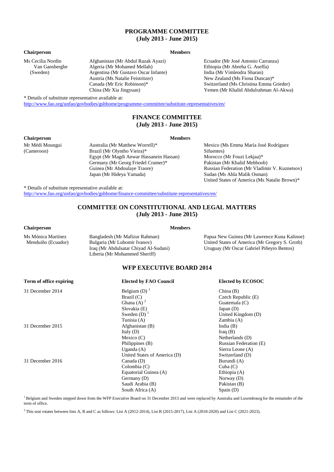#### **PROGRAMME COMMITTEE (July 2013 - June 2015)**

#### **Chairperson Members**

Ms Cecilia Nordin Van Gansberghe (Sweden)

Afghanistan (Mr Abdul Razak Ayazi) Algeria (Mr Mohamed Mellah) Argentina (Mr Gustavo Oscar Infante) Austria (Ms Natalie Feistritzer) Canada (Mr Eric Robinson)\* China (Mr Xia Jingyuan)

Ecuador (Mr José Antonio Carranza) Ethiopia (Mr Abreha G. Aseffa) India (Mr Vimlendra Sharan) New Zealand (Ms Fiona Duncan)\* Switzerland (Ms Christina Emma Grieder) Yemen (Mr Khalid Abdulrahman Al-Akwa)

\* Details of substitute representative available at:

<http://www.fao.org/unfao/govbodies/gsbhome/programme-committee/substitute-representatives/en/>

Australia (Mr Matthew Worrell)\* Brazil (Mr Olyntho Vieira)\*

Egypt (Mr Magdi Anwar Hassanein Hassan) Germany (Mr Georg Friedel Cramer)\* Guinea (Mr Abdoulaye Traore) Japan (Mr Hideya Yamada)

#### **FINANCE COMMITTEE (July 2013 - June 2015)**

#### **Chairperson Members**

Mr Médi Moungui (Cameroon)

Mexico (Ms Emma María José Rodríguez Sifuentes) Morocco (Mr Fouzi Lekjaa)\* Pakistan (Mr Khalid Mehboob) Russian Federation (Mr Vladimir V. Kuznetsov) Sudan (Ms Abla Malik Osman) United States of America (Ms Natalie Brown)\*

\* Details of substitute representative available at: <http://www.fao.org/unfao/govbodies/gsbhome/finance-committee/substitute-representatives/en/>

#### **COMMITTEE ON CONSTITUTIONAL AND LEGAL MATTERS (July 2013 - June 2015)**

#### **Chairperson Members**

Ms Mónica Martínez Menduiño (Ecuador) Bangladesh (Mr Mafizur Rahman) Bulgaria (Mr Lubomir Ivanov) Iraq (Mr Abdulsatar Chiyad Al-Sudani) Liberia (Mr Mohammed Sheriff) Papua New Guinea (Mr Lawrence Kuna Kalinoe) United States of America (Mr Gregory S. Groth) Uruguay (Mr Oscar Gabriel Piñeyro Bentos)

#### **WFP EXECUTIVE BOARD 2014**

| Term of office expiring | <b>Elected by FAO Council</b> | <b>Elected by ECOSOC</b> |
|-------------------------|-------------------------------|--------------------------|
| 31 December 2014        | Belgium (D) $1$               | China(B)                 |
|                         | Brazil $(C)$                  | Czech Republic (E)       |
|                         | Ghana (A) $2$                 | Guatemala $(C)$          |
|                         | Slovakia (E)                  | Japan $(D)$              |
|                         | Sweden $(D)$ <sup>1</sup>     | United Kingdom (D)       |
|                         | Tunisia (A)                   | Zambia(A)                |
| 31 December 2015        | Afghanistan (B)               | India $(B)$              |
|                         | Italy $(D)$                   | Iraq $(B)$               |
|                         | Mexico $(C)$                  | Netherlands (D)          |
|                         | Philippines (B)               | Russian Federation (E)   |
|                         | Uganda $(A)$                  | Sierra Leone (A)         |
|                         | United States of America (D)  | Switzerland (D)          |
| 31 December 2016        | Canada (D)                    | Burundi (A)              |
|                         | Colombia(C)                   | Cuba(C)                  |
|                         | Equatorial Guinea (A)         | Ethiopia (A)             |
|                         | Germany (D)                   | Norway $(D)$             |
|                         | Saudi Arabia (B)              | Pakistan (B)             |
|                         | South Africa (A)              | Span(D)                  |

 $1B$ elgium and Sweden stepped down from the WFP Executive Board on 31 December 2013 and were replaced by Australia and Luxembourg for the remainder of the term of office.

2 This seat rotates between lists A, B and C as follows: List A (2012-2014), List B (2015-2017), List A (2018-2020) and List C (2021-2023).